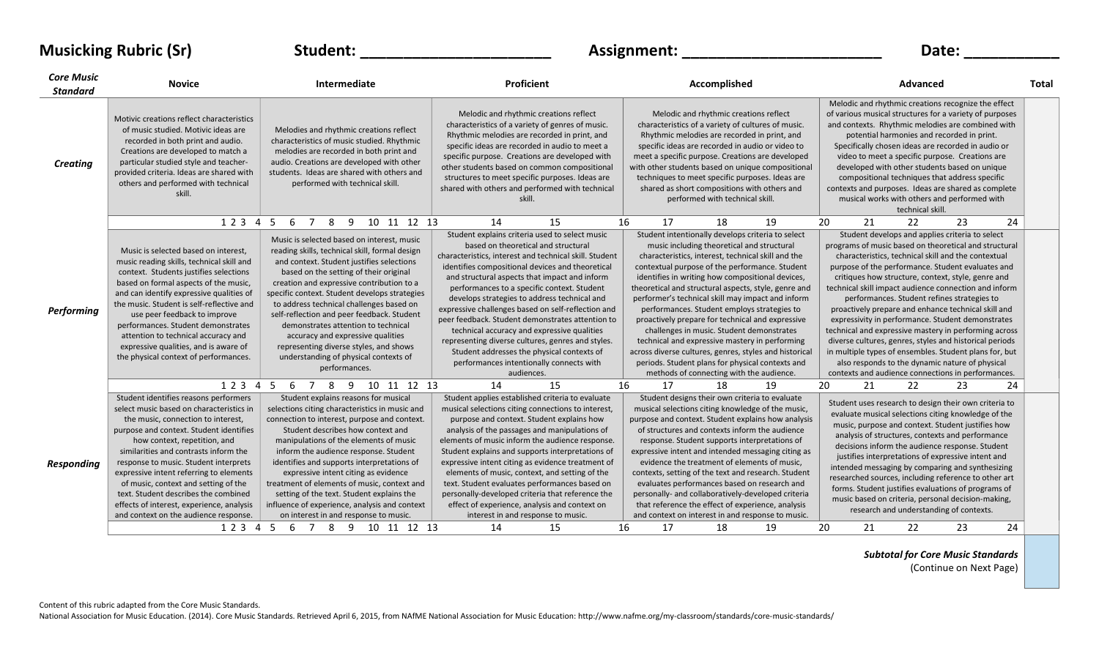| <b>Musicking Rubric (Sr)</b>         |                                                                                                                       | Student:                                                                              | Assignment:                                                                                                                                                                                  | Date:                                                                                                                                                                                         |                                                                                                                                                                                                                                                                         |       |
|--------------------------------------|-----------------------------------------------------------------------------------------------------------------------|---------------------------------------------------------------------------------------|----------------------------------------------------------------------------------------------------------------------------------------------------------------------------------------------|-----------------------------------------------------------------------------------------------------------------------------------------------------------------------------------------------|-------------------------------------------------------------------------------------------------------------------------------------------------------------------------------------------------------------------------------------------------------------------------|-------|
| <b>Core Music</b><br><b>Standard</b> | <b>Novice</b>                                                                                                         | Intermediate                                                                          | Proficient                                                                                                                                                                                   | Accomplished                                                                                                                                                                                  | Advanced                                                                                                                                                                                                                                                                | Total |
|                                      | Motivic creations reflect characteristics<br>of music studied. Motivic ideas are<br>recorded in both print and audio. | Melodies and rhythmic creations reflect<br>characteristics of music studied. Rhythmic | Melodic and rhythmic creations reflect<br>characteristics of a variety of genres of music.<br>Rhythmic melodies are recorded in print, and<br>concific ideas are recorded in audio to meet a | Melodic and rhythmic creations reflect<br>characteristics of a variety of cultures of music.<br>Rhythmic melodies are recorded in print, and<br>concificidaze are recorded in audio eruidento | Melodic and rhythmic creations recognize the effect<br>of various musical structures for a variety of purposes<br>and contexts. Rhythmic melodies are combined with<br>potential harmonies and recorded in print.<br>Specifically chosen ideas are reserved in audio or |       |

specific ideas are recorded in audio or video to

specific ideas are recorded in audio to meet a

| <b>Creating</b>   | Creations are developed to match a<br>particular studied style and teacher-<br>provided criteria. Ideas are shared with<br>others and performed with technical<br>skill.                                                                                                                                                                                                                                                                                                                                       | THE DUTES AT EXPORTED THE DUTTER THAT A THE<br>audio. Creations are developed with other<br>students. Ideas are shared with others and<br>performed with technical skill.                                                                                                                                                                                                                                                                                                                                                                                             | specific purpose. Creations are developed with<br>other students based on common compositional<br>structures to meet specific purposes. Ideas are<br>shared with others and performed with technical<br>skill                                                                                                                                                                                                                                                                                                                                                                                                                                                             |    |          | techniques to meet specific purposes. Ideas are<br>shared as short compositions with others and<br>performed with technical skill.                                                                                                                                                                                                                                                                                                                                                                                                                            | meet a specific purpose. Creations are developed<br>with other students based on unique compositional                                                                                                                      |    |    | video to meet a specific purpose. Creations are<br>developed with other students based on unique<br>compositional techniques that address specific<br>contexts and purposes. Ideas are shared as complete<br>musical works with others and performed with<br>technical skill.                                                                                                                                                                                                                                                                                                                                                                                                                                                                                                         |    |    |
|-------------------|----------------------------------------------------------------------------------------------------------------------------------------------------------------------------------------------------------------------------------------------------------------------------------------------------------------------------------------------------------------------------------------------------------------------------------------------------------------------------------------------------------------|-----------------------------------------------------------------------------------------------------------------------------------------------------------------------------------------------------------------------------------------------------------------------------------------------------------------------------------------------------------------------------------------------------------------------------------------------------------------------------------------------------------------------------------------------------------------------|---------------------------------------------------------------------------------------------------------------------------------------------------------------------------------------------------------------------------------------------------------------------------------------------------------------------------------------------------------------------------------------------------------------------------------------------------------------------------------------------------------------------------------------------------------------------------------------------------------------------------------------------------------------------------|----|----------|---------------------------------------------------------------------------------------------------------------------------------------------------------------------------------------------------------------------------------------------------------------------------------------------------------------------------------------------------------------------------------------------------------------------------------------------------------------------------------------------------------------------------------------------------------------|----------------------------------------------------------------------------------------------------------------------------------------------------------------------------------------------------------------------------|----|----|---------------------------------------------------------------------------------------------------------------------------------------------------------------------------------------------------------------------------------------------------------------------------------------------------------------------------------------------------------------------------------------------------------------------------------------------------------------------------------------------------------------------------------------------------------------------------------------------------------------------------------------------------------------------------------------------------------------------------------------------------------------------------------------|----|----|
|                   | 1 2 3 4                                                                                                                                                                                                                                                                                                                                                                                                                                                                                                        | 8<br>10 11 12 13<br>5<br>6<br>$\overline{7}$<br>9                                                                                                                                                                                                                                                                                                                                                                                                                                                                                                                     | 14                                                                                                                                                                                                                                                                                                                                                                                                                                                                                                                                                                                                                                                                        | 15 | 16<br>17 | 18                                                                                                                                                                                                                                                                                                                                                                                                                                                                                                                                                            | 19                                                                                                                                                                                                                         | 20 | 21 | 22                                                                                                                                                                                                                                                                                                                                                                                                                                                                                                                                                                                                                                                                                                                                                                                    | 23 | 24 |
| <b>Performing</b> | Music is selected based on interest.<br>music reading skills, technical skill and<br>context. Students justifies selections<br>based on formal aspects of the music,<br>and can identify expressive qualities of<br>the music. Student is self-reflective and<br>use peer feedback to improve<br>performances. Student demonstrates<br>attention to technical accuracy and<br>expressive qualities, and is aware of<br>the physical context of performances.                                                   | Music is selected based on interest, music<br>reading skills, technical skill, formal design<br>and context. Student justifies selections<br>based on the setting of their original<br>creation and expressive contribution to a<br>specific context. Student develops strategies<br>to address technical challenges based on<br>self-reflection and peer feedback. Student<br>demonstrates attention to technical<br>accuracy and expressive qualities<br>representing diverse styles, and shows<br>understanding of physical contexts of<br>performances.           | Student explains criteria used to select music<br>based on theoretical and structural<br>characteristics, interest and technical skill. Student<br>identifies compositional devices and theoretical<br>and structural aspects that impact and inform<br>performances to a specific context. Student<br>develops strategies to address technical and<br>expressive challenges based on self-reflection and<br>peer feedback. Student demonstrates attention to<br>technical accuracy and expressive qualities<br>representing diverse cultures, genres and styles.<br>Student addresses the physical contexts of<br>performances intentionally connects with<br>audiences. |    |          | Student intentionally develops criteria to select<br>music including theoretical and structural<br>characteristics, interest, technical skill and the<br>contextual purpose of the performance. Student<br>identifies in writing how compositional devices,<br>performances. Student employs strategies to<br>proactively prepare for technical and expressive<br>challenges in music. Student demonstrates<br>technical and expressive mastery in performing<br>periods. Student plans for physical contexts and<br>methods of connecting with the audience. | theoretical and structural aspects, style, genre and<br>performer's technical skill may impact and inform<br>across diverse cultures, genres, styles and historical                                                        |    |    | Student develops and applies criteria to select<br>programs of music based on theoretical and structural<br>characteristics, technical skill and the contextual<br>purpose of the performance. Student evaluates and<br>critiques how structure, context, style, genre and<br>technical skill impact audience connection and inform<br>performances. Student refines strategies to<br>proactively prepare and enhance technical skill and<br>expressivity in performance. Student demonstrates<br>technical and expressive mastery in performing across<br>diverse cultures, genres, styles and historical periods<br>in multiple types of ensembles. Student plans for, but<br>also responds to the dynamic nature of physical<br>contexts and audience connections in performances. |    |    |
|                   | 1 2 3 4                                                                                                                                                                                                                                                                                                                                                                                                                                                                                                        | 10 11 12 13<br>.5<br>6<br>8<br>9                                                                                                                                                                                                                                                                                                                                                                                                                                                                                                                                      | 14                                                                                                                                                                                                                                                                                                                                                                                                                                                                                                                                                                                                                                                                        | 15 | 16<br>17 | 18                                                                                                                                                                                                                                                                                                                                                                                                                                                                                                                                                            | 19                                                                                                                                                                                                                         | 20 | 21 | 22                                                                                                                                                                                                                                                                                                                                                                                                                                                                                                                                                                                                                                                                                                                                                                                    | 23 | 24 |
| <b>Responding</b> | Student identifies reasons performers<br>select music based on characteristics in<br>the music, connection to interest,<br>purpose and context. Student identifies<br>how context, repetition, and<br>similarities and contrasts inform the<br>response to music. Student interprets<br>expressive intent referring to elements<br>of music, context and setting of the<br>text. Student describes the combined<br>effects of interest, experience, analysis<br>and context on the audience response.<br>12345 | Student explains reasons for musical<br>selections citing characteristics in music and<br>connection to interest, purpose and context.<br>Student describes how context and<br>manipulations of the elements of music<br>inform the audience response. Student<br>identifies and supports interpretations of<br>expressive intent citing as evidence<br>treatment of elements of music, context and<br>setting of the text. Student explains the<br>influence of experience, analysis and context<br>on interest in and response to music.<br>6<br>8<br>9 10 11 12 13 | Student applies established criteria to evaluate<br>musical selections citing connections to interest,<br>purpose and context. Student explains how<br>analysis of the passages and manipulations of<br>elements of music inform the audience response.<br>Student explains and supports interpretations of<br>expressive intent citing as evidence treatment of<br>elements of music, context, and setting of the<br>text. Student evaluates performances based on<br>personally-developed criteria that reference the<br>effect of experience, analysis and context on<br>interest in and response to music.<br>14                                                      | 15 | 16<br>17 | Student designs their own criteria to evaluate<br>musical selections citing knowledge of the music,<br>of structures and contexts inform the audience<br>response. Student supports interpretations of<br>evidence the treatment of elements of music,<br>evaluates performances based on research and<br>personally- and collaboratively-developed criteria<br>that reference the effect of experience, analysis<br>18                                                                                                                                       | purpose and context. Student explains how analysis<br>expressive intent and intended messaging citing as<br>contexts, setting of the text and research. Student<br>and context on interest in and response to music.<br>19 | 20 | 21 | Student uses research to design their own criteria to<br>evaluate musical selections citing knowledge of the<br>music, purpose and context. Student justifies how<br>analysis of structures, contexts and performance<br>decisions inform the audience response. Student<br>justifies interpretations of expressive intent and<br>intended messaging by comparing and synthesizing<br>researched sources, including reference to other art<br>forms. Student justifies evaluations of programs of<br>music based on criteria, personal decision-making,<br>research and understanding of contexts.<br>22                                                                                                                                                                              | 23 | 24 |

## Subtotal for Core Music Standards

Specifically chosen ideas are recorded in audio or

(Continue on Next Page)

Content of this rubric adapted from the Core Music Standards.

Creations are developed to match a

melodies are recorded in both print and

National Association for Music Education. (2014). Core Music Standards. Retrieved April 6, 2015, from NAfME National Association for Music Education: http://www.nafme.org/my-classroom/standards/core-music-standards/